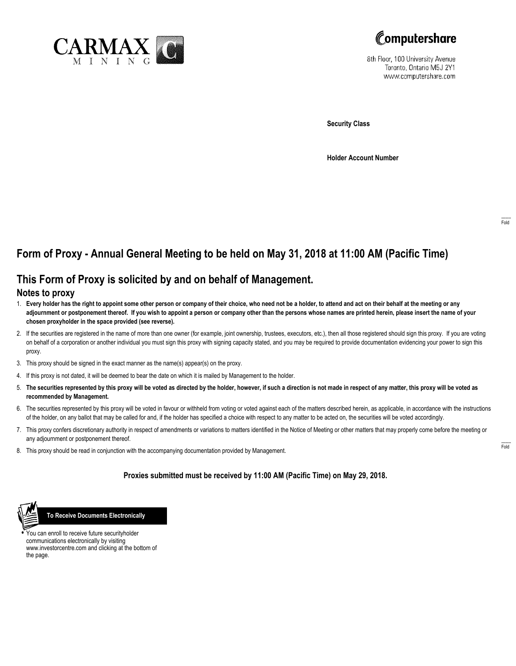



8th Floor, 100 University Avenue Toronto, Ontario M5J 2Y1 www.computershare.com

**Security Class**

**Holder Account Number**

# **Form of Proxy - Annual General Meeting to be held on May 31, 2018 at 11:00 AM (Pacific Time)**

## **This Form of Proxy is solicited by and on behalf of Management.**

### **Notes to proxy**

- 1. **Every holder has the right to appoint some other person or company of their choice, who need not be a holder, to attend and act on their behalf at the meeting or any adjournment or postponement thereof. If you wish to appoint a person or company other than the persons whose names are printed herein, please insert the name of your chosen proxyholder in the space provided (see reverse).**
- 2. If the securities are registered in the name of more than one owner (for example, joint ownership, trustees, executors, etc.), then all those registered should sign this proxy. If you are voting on behalf of a corporation or another individual you must sign this proxy with signing capacity stated, and you may be required to provide documentation evidencing your power to sign this proxy.
- 3. This proxy should be signed in the exact manner as the name(s) appear(s) on the proxy.
- 4. If this proxy is not dated, it will be deemed to bear the date on which it is mailed by Management to the holder.
- 5. **The securities represented by this proxy will be voted as directed by the holder, however, if such a direction is not made in respect of any matter, this proxy will be voted as recommended by Management.**
- 6. The securities represented by this proxy will be voted in favour or withheld from voting or voted against each of the matters described herein, as applicable, in accordance with the instructions of the holder, on any ballot that may be called for and, if the holder has specified a choice with respect to any matter to be acted on, the securities will be voted accordingly.
- 7. This proxy confers discretionary authority in respect of amendments or variations to matters identified in the Notice of Meeting or other matters that may properly come before the meeting or any adjournment or postponement thereof.
- 8. This proxy should be read in conjunction with the accompanying documentation provided by Management.

### **Proxies submitted must be received by 11:00 AM (Pacific Time) on May 29, 2018.**



 **To Receive Documents Electronically**

**•** You can enroll to receive future securityholder communications electronically by visiting www.investorcentre.com and clicking at the bottom of the page.